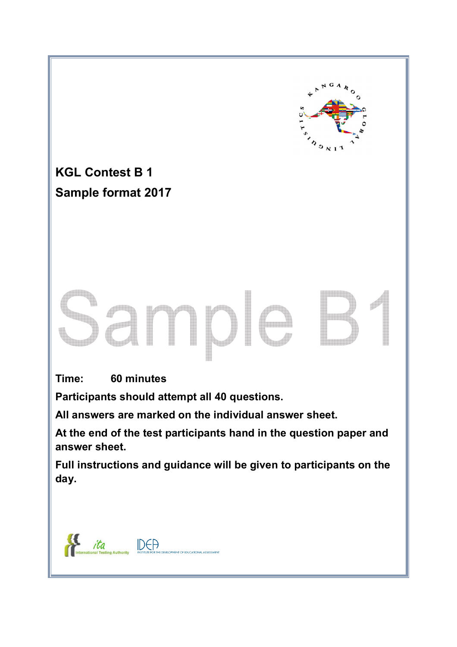

**KGL Contest B 1 Sample format 2017** 

**Time: 60 minutes** 

**Participants should attempt all 40 questions.** 

**All answers are marked on the individual answer sheet.** 

**At the end of the test participants hand in the question paper and answer sheet.** 

**Full instructions and guidance will be given to participants on the day.** 

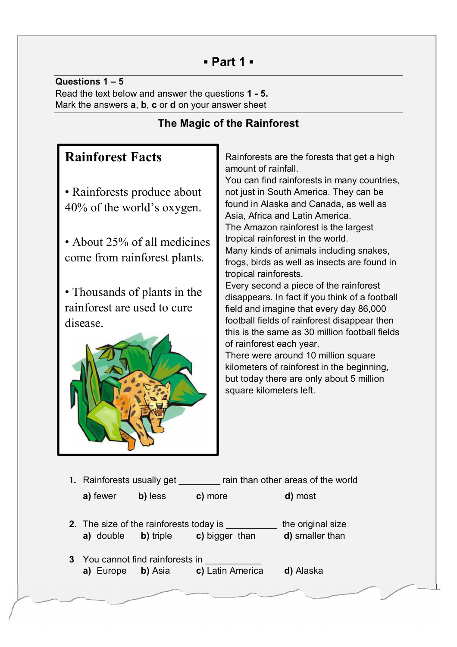# **▪ Part 1 ▪**

**Questions 1 – 5** Read the text below and answer the questions **1 - 5.** Mark the answers **a**, **b**, **c** or **d** on your answer sheet

# **The Magic of the Rainforest**

# **Rainforest Facts**

- Rainforests produce about 40% of the world's oxygen.
- About 25% of all medicines come from rainforest plants.

• Thousands of plants in the rainforest are used to cure disease.



Rainforests are the forests that get a high amount of rainfall.

You can find rainforests in many countries, not just in South America. They can be found in Alaska and Canada, as well as Asia, Africa and Latin America.

The Amazon rainforest is the largest tropical rainforest in the world. Many kinds of animals including snakes,

frogs, birds as well as insects are found in tropical rainforests.

Every second a piece of the rainforest disappears. In fact if you think of a football field and imagine that every day 86,000 football fields of rainforest disappear then this is the same as 30 million football fields of rainforest each year.

There were around 10 million square kilometers of rainforest in the beginning, but today there are only about 5 million square kilometers left.

- **1.** Rainforests usually get \_\_\_\_\_\_\_\_ rain than other areas of the world
	- **a)** fewer **b)** less **c)** more **d)** most
- **2.** The size of the rainforests today is the original size **a)** double **b)** triple **c)** bigger than **d)** smaller than
- **3** You cannot find rainforests in **a)** Europe **b)** Asia **c)** Latin America **d)** Alaska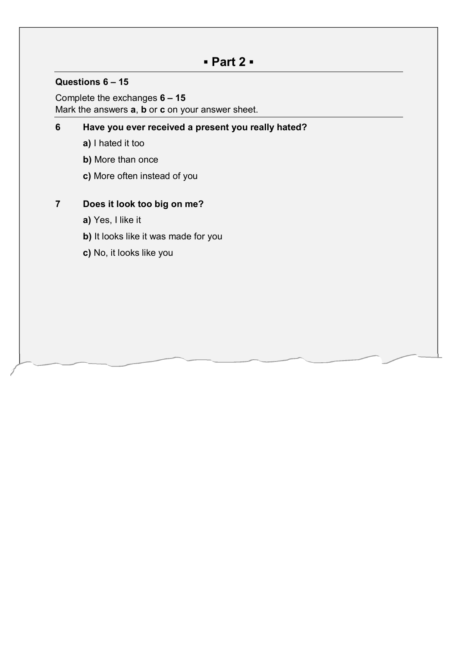# **▪ Part 2 ▪**

#### **Questions 6 – 15**

Complete the exchanges **6 – 15** Mark the answers **a**, **b** or **c** on your answer sheet.

#### **6 Have you ever received a present you really hated?**

- **a)** I hated it too
- **b)** More than once
- **c)** More often instead of you

#### **7 Does it look too big on me?**

- **a)** Yes, I like it
- **b)** It looks like it was made for you
- **c)** No, it looks like you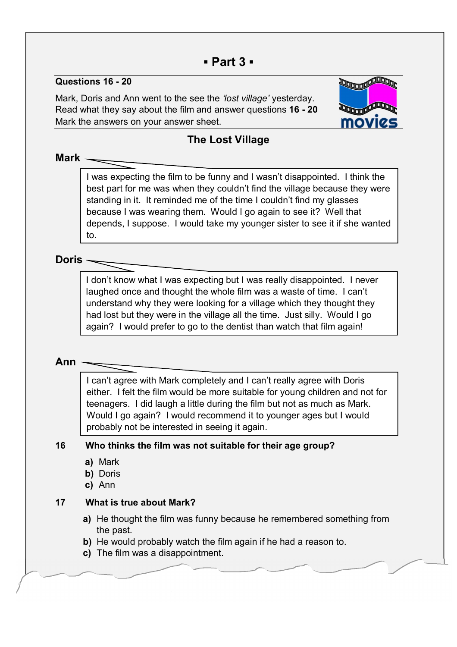# **▪ Part 3 ▪**

#### **Questions 16 - 20**

Mark, Doris and Ann went to the see the *'lost village'* yesterday. Read what they say about the film and answer questions **16 - 20** Mark the answers on your answer sheet.



## **The Lost Village**

#### **Mark**

I was expecting the film to be funny and I wasn't disappointed. I think the best part for me was when they couldn't find the village because they were standing in it. It reminded me of the time I couldn't find my glasses because I was wearing them. Would I go again to see it? Well that depends, I suppose. I would take my younger sister to see it if she wanted to.

#### **Doris**

I don't know what I was expecting but I was really disappointed. I never laughed once and thought the whole film was a waste of time. I can't understand why they were looking for a village which they thought they had lost but they were in the village all the time. Just silly. Would I go again? I would prefer to go to the dentist than watch that film again!

#### **Ann**

l,

I can't agree with Mark completely and I can't really agree with Doris either. I felt the film would be more suitable for young children and not for teenagers. I did laugh a little during the film but not as much as Mark. Would I go again? I would recommend it to younger ages but I would probably not be interested in seeing it again.

#### **16 Who thinks the film was not suitable for their age group?**

- **a)** Mark
- **b)** Doris
- **c)** Ann

#### **17 What is true about Mark?**

- **a)** He thought the film was funny because he remembered something from the past.
- **b)** He would probably watch the film again if he had a reason to.
- **c)** The film was a disappointment.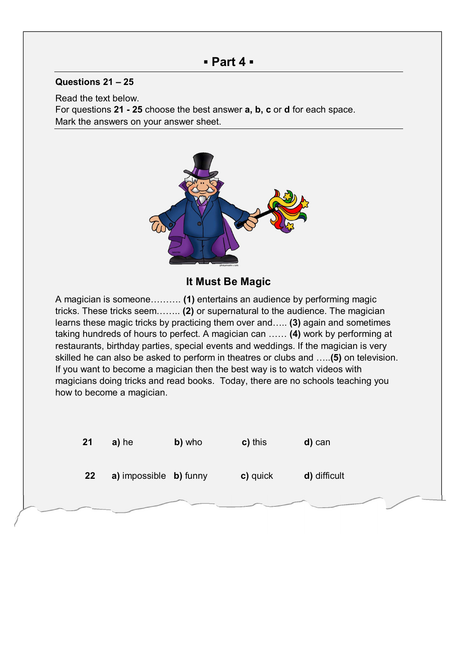### **▪ Part 4 ▪**

#### **Questions 21 – 25**

Read the text below. For questions **21 - 25** choose the best answer **a, b, c** or **d** for each space. Mark the answers on your answer sheet.



#### **It Must Be Magic**

A magician is someone………. **(1)** entertains an audience by performing magic tricks. These tricks seem…….. **(2)** or supernatural to the audience. The magician learns these magic tricks by practicing them over and….. **(3)** again and sometimes taking hundreds of hours to perfect. A magician can …… **(4)** work by performing at restaurants, birthday parties, special events and weddings. If the magician is very skilled he can also be asked to perform in theatres or clubs and …..**(5)** on television. If you want to become a magician then the best way is to watch videos with magicians doing tricks and read books. Today, there are no schools teaching you how to become a magician.

| 21 | a) he                                | b) who | c) this  | d) can       |
|----|--------------------------------------|--------|----------|--------------|
| 22 | <b>a)</b> impossible <b>b)</b> funny |        | c) quick | d) difficult |
|    |                                      |        |          |              |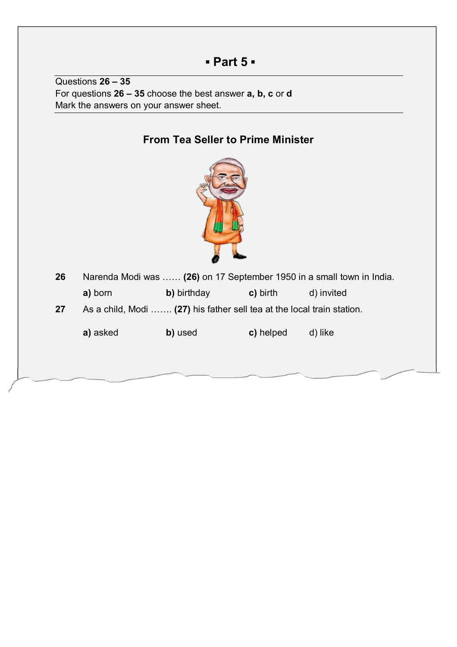# **▪ Part 5 ▪**

Questions **26 – 35** For questions **26 – 35** choose the best answer **a, b, c** or **d** Mark the answers on your answer sheet.

# **From Tea Seller to Prime Minister 26** Narenda Modi was …… **(26)** on 17 September 1950 in a small town in India. **a)** born **b)** birthday **c)** birth d) invited **27** As a child, Modi ……. **(27)** his father sell tea at the local train station. **a)** asked **b)** used **c)** helped d) like